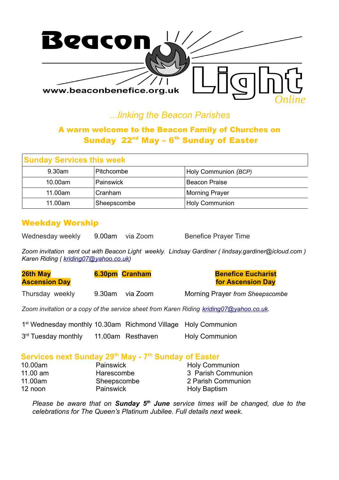

# *…linking the Beacon Parishes*

# A warm welcome to the Beacon Family of Churches on Sunday  $22^{nd}$  May –  $6^{th}$  Sunday of Easter

| <b>Sunday Services this week</b> |             |                       |  |  |
|----------------------------------|-------------|-----------------------|--|--|
| 9.30am                           | Pitchcombe  | Holy Communion (BCP)  |  |  |
| 10.00am                          | Painswick   | <b>Beacon Praise</b>  |  |  |
| 11.00am                          | Cranham     | <b>Morning Prayer</b> |  |  |
| 11.00am                          | Sheepscombe | <b>Holy Communion</b> |  |  |

### Weekday Worship

Wednesday weekly 9.00am via Zoom Benefice Prayer Time

*Zoom invitation sent out with Beacon Light weekly. Lindsay Gardiner ( lindsay.gardiner@icloud.com ) Karen Riding ( [kriding07@yahoo.co.uk\)](mailto:kriding07@yahoo.co.uk)*

| 26th May<br><b>Ascension Day</b> |        | 6.30pm Cranham | <b>Benefice Eucharist</b><br>for Ascension Day |
|----------------------------------|--------|----------------|------------------------------------------------|
| Thursday weekly                  | 9.30am | via Zoom       | Morning Prayer from Sheepscombe                |

*Zoom invitation or a copy of the service sheet from Karen Riding [kriding07@yahoo.co.uk](mailto:kriding07@yahoo.co.uk).*

| 1 <sup>st</sup> Wednesday monthly 10.30am Richmond Village Holy Communion |                   |                       |
|---------------------------------------------------------------------------|-------------------|-----------------------|
| 3 <sup>rd</sup> Tuesday monthly                                           | 11.00am Resthaven | <b>Holy Communion</b> |

### **Services next Sunday 29th May - 7th Sunday of Easter**

| 10.00am  | <b>Painswick</b> | <b>Holy Communion</b> |
|----------|------------------|-----------------------|
| 11.00 am | Harescombe       | 3 Parish Communion    |
| 11.00am  | Sheepscombe      | 2 Parish Communion    |
| 12 noon  | <b>Painswick</b> | Holy Baptism          |

*Please be aware that on Sunday 5th June service times will be changed, due to the celebrations for The Queen's Platinum Jubilee. Full details next week.*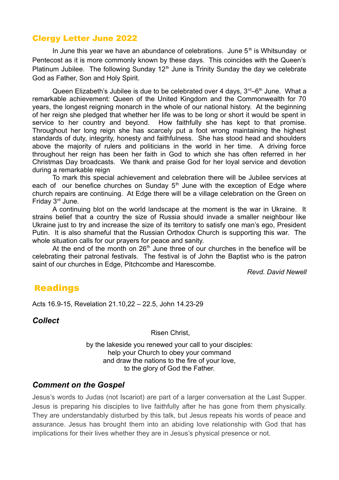#### Clergy Letter June 2022

In June this year we have an abundance of celebrations. June  $5<sup>th</sup>$  is Whitsunday or Pentecost as it is more commonly known by these days. This coincides with the Queen's Platinum Jubilee. The following Sunday  $12<sup>th</sup>$  June is Trinity Sunday the day we celebrate God as Father, Son and Holy Spirit.

Queen Elizabeth's Jubilee is due to be celebrated over 4 days,  $3<sup>rd</sup>-6<sup>th</sup>$  June. What a remarkable achievement: Queen of the United Kingdom and the Commonwealth for 70 years, the longest reigning monarch in the whole of our national history. At the beginning of her reign she pledged that whether her life was to be long or short it would be spent in service to her country and beyond. How faithfully she has kept to that promise. Throughout her long reign she has scarcely put a foot wrong maintaining the highest standards of duty, integrity, honesty and faithfulness. She has stood head and shoulders above the majority of rulers and politicians in the world in her time. A driving force throughout her reign has been her faith in God to which she has often referred in her Christmas Day broadcasts. We thank and praise God for her loyal service and devotion during a remarkable reign

To mark this special achievement and celebration there will be Jubilee services at each of our benefice churches on Sunday  $5<sup>th</sup>$  June with the exception of Edge where church repairs are continuing. At Edge there will be a village celebration on the Green on Friday 3rd June.

A continuing blot on the world landscape at the moment is the war in Ukraine. It strains belief that a country the size of Russia should invade a smaller neighbour like Ukraine just to try and increase the size of its territory to satisfy one man's ego, President Putin. It is also shameful that the Russian Orthodox Church is supporting this war. The whole situation calls for our prayers for peace and sanity.

At the end of the month on  $26<sup>th</sup>$  June three of our churches in the benefice will be celebrating their patronal festivals. The festival is of John the Baptist who is the patron saint of our churches in Edge, Pitchcombe and Harescombe.

*Revd. David Newell*

## Readings

Acts 16.9-15, Revelation 21.10,22 – 22.5, John 14.23-29

#### *Collect*

Risen Christ,

by the lakeside you renewed your call to your disciples: help your Church to obey your command and draw the nations to the fire of your love, to the glory of God the Father.

#### *Comment on the Gospel*

Jesus's words to Judas (not Iscariot) are part of a larger conversation at the Last Supper. Jesus is preparing his disciples to live faithfully after he has gone from them physically. They are understandably disturbed by this talk, but Jesus repeats his words of peace and assurance. Jesus has brought them into an abiding love relationship with God that has implications for their lives whether they are in Jesus's physical presence or not.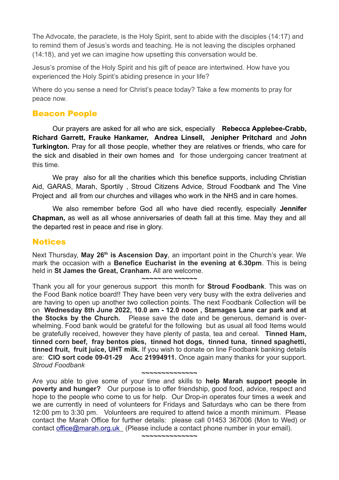The Advocate, the paraclete, is the Holy Spirit, sent to abide with the disciples (14:17) and to remind them of Jesus's words and teaching. He is not leaving the disciples orphaned (14:18), and yet we can imagine how upsetting this conversation would be.

Jesus's promise of the Holy Spirit and his gift of peace are intertwined. How have you experienced the Holy Spirit's abiding presence in your life?

Where do you sense a need for Christ's peace today? Take a few moments to pray for peace now.

#### Beacon People

Our prayers are asked for all who are sick, especially **Rebecca Applebee-Crabb, Richard Garrett, Frauke Hankamer, Andrea Linsell, Jenipher Pritchard** and **John Turkington.** Pray for all those people, whether they are relatives or friends, who care for the sick and disabled in their own homes and for those undergoing cancer treatment at this time.

We pray also for all the charities which this benefice supports, including Christian Aid, GARAS, Marah, Sportily , Stroud Citizens Advice, Stroud Foodbank and The Vine Project and all from our churches and villages who work in the NHS and in care homes.

We also remember before God all who have died recently, especially **Jennifer Chapman,** as well as all whose anniversaries of death fall at this time. May they and all the departed rest in peace and rise in glory.

#### **Notices**

Next Thursday, May 26<sup>th</sup> is Ascension Day, an important point in the Church's year. We mark the occasion with a **Benefice Eucharist in the evening at 6.30pm**. This is being held in **St James the Great, Cranham.** All are welcome. **~~~~~~~~~~~~~~** 

Thank you all for your generous support this month for **Stroud Foodbank**. This was on the Food Bank notice board!! They have been very very busy with the extra deliveries and are having to open up another two collection points. The next Foodbank Collection will be on **Wednesday 8th June 2022, 10.0 am - 12.0 noon , Stamages Lane car park and at the Stocks by the Church.** Please save the date and be generous, demand is overwhelming. Food bank would be grateful for the following but as usual all food Items would be gratefully received, however they have plenty of pasta, tea and cereal. **Tinned Ham, tinned corn beef, fray bentos pies, tinned hot dogs, tinned tuna, tinned spaghetti, tinned fruit, fruit juice, UHT milk.** If you wish to donate on line Foodbank banking details are: **CIO sort code 09-01-29 Acc 21994911.** Once again many thanks for your support. *Stroud Foodbank*

Are you able to give some of your time and skills to **help Marah support people in poverty and hunger?** Our purpose is to offer friendship, good food, advice, respect and hope to the people who come to us for help. Our Drop-in operates four times a week and we are currently in need of volunteers for Fridays and Saturdays who can be there from 12:00 pm to 3:30 pm. Volunteers are required to attend twice a month minimum. Please contact the Marah Office for further details: please call 01453 367006 (Mon to Wed) or contact [office@marah.org.uk](mailto:office@marah.org.uk) (Please include a contact phone number in your email).

**~~~~~~~~~~~~~~** 

**~~~~~~~~~~~~~~**